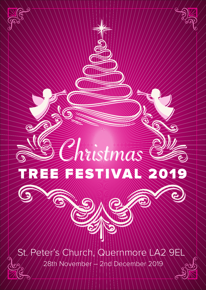